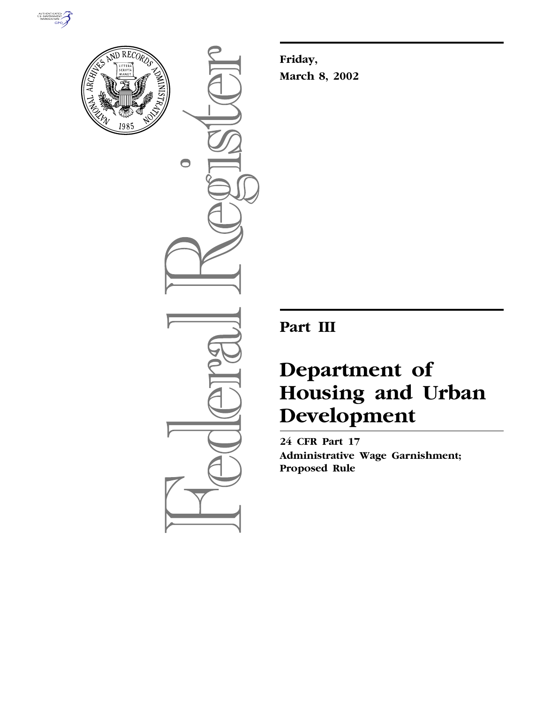



 $\bigcirc$ 

**Friday, March 8, 2002**

**Part III**

# **Department of Housing and Urban Development**

**24 CFR Part 17 Administrative Wage Garnishment; Proposed Rule**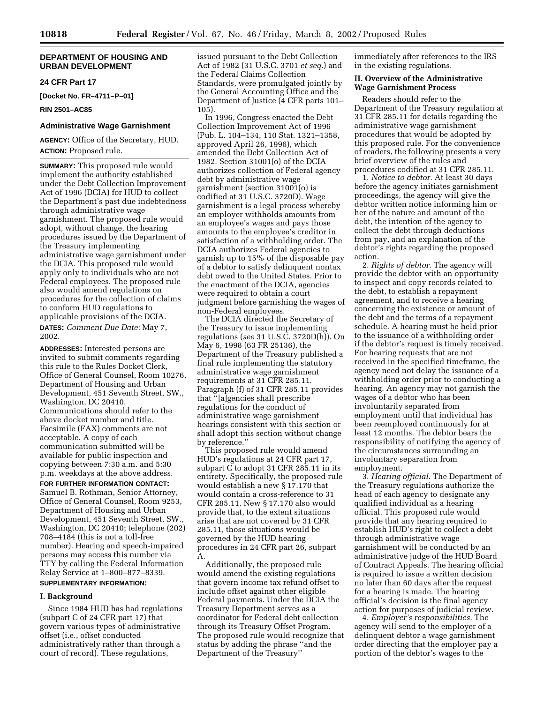## **DEPARTMENT OF HOUSING AND URBAN DEVELOPMENT**

## **24 CFR Part 17**

**[Docket No. FR–4711–P–01]**

**RIN 2501–AC85**

## **Administrative Wage Garnishment**

**AGENCY:** Office of the Secretary, HUD. **ACTION:** Proposed rule.

**SUMMARY:** This proposed rule would implement the authority established under the Debt Collection Improvement Act of 1996 (DCIA) for HUD to collect the Department's past due indebtedness through administrative wage garnishment. The proposed rule would adopt, without change, the hearing procedures issued by the Department of the Treasury implementing administrative wage garnishment under the DCIA. This proposed rule would apply only to individuals who are not Federal employees. The proposed rule also would amend regulations on procedures for the collection of claims to conform HUD regulations to applicable provisions of the DCIA. **DATES:** *Comment Due Date:* May 7, 2002.

**ADDRESSES:** Interested persons are invited to submit comments regarding this rule to the Rules Docket Clerk, Office of General Counsel, Room 10276, Department of Housing and Urban Development, 451 Seventh Street, SW., Washington, DC 20410. Communications should refer to the above docket number and title. Facsimile (FAX) comments are not acceptable. A copy of each communication submitted will be available for public inspection and copying between 7:30 a.m. and 5:30 p.m. weekdays at the above address.

**FOR FURTHER INFORMATION CONTACT:** Samuel B. Rothman, Senior Attorney, Office of General Counsel, Room 9253, Department of Housing and Urban Development, 451 Seventh Street, SW., Washington, DC 20410; telephone (202) 708–4184 (this is not a toll-free number). Hearing and speech-impaired persons may access this number via TTY by calling the Federal Information Relay Service at 1–800–877–8339.

# **SUPPLEMENTARY INFORMATION:**

#### **I. Background**

Since 1984 HUD has had regulations (subpart C of 24 CFR part 17) that govern various types of administrative offset (i.e., offset conducted administratively rather than through a court of record). These regulations,

issued pursuant to the Debt Collection Act of 1982 (31 U.S.C. 3701 *et seq.*) and the Federal Claims Collection Standards, were promulgated jointly by the General Accounting Office and the Department of Justice (4 CFR parts 101– 105).

In 1996, Congress enacted the Debt Collection Improvement Act of 1996 (Pub. L. 104–134, 110 Stat. 1321–1358, approved April 26, 1996), which amended the Debt Collection Act of 1982. Section 31001(o) of the DCIA authorizes collection of Federal agency debt by administrative wage garnishment (section 31001(o) is codified at 31 U.S.C. 3720D). Wage garnishment is a legal process whereby an employer withholds amounts from an employee's wages and pays those amounts to the employee's creditor in satisfaction of a withholding order. The DCIA authorizes Federal agencies to garnish up to 15% of the disposable pay of a debtor to satisfy delinquent nontax debt owed to the United States. Prior to the enactment of the DCIA, agencies were required to obtain a court judgment before garnishing the wages of non-Federal employees.

The DCIA directed the Secretary of the Treasury to issue implementing regulations (*see* 31 U.S.C. 3720D(h)). On May 6, 1998 (63 FR 25136), the Department of the Treasury published a final rule implementing the statutory administrative wage garnishment requirements at 31 CFR 285.11. Paragraph (f) of 31 CFR 285.11 provides that ''[a]gencies shall prescribe regulations for the conduct of administrative wage garnishment hearings consistent with this section or shall adopt this section without change by reference.''

This proposed rule would amend HUD's regulations at 24 CFR part 17, subpart C to adopt 31 CFR 285.11 in its entirety. Specifically, the proposed rule would establish a new § 17.170 that would contain a cross-reference to 31 CFR 285.11. New § 17.170 also would provide that, to the extent situations arise that are not covered by 31 CFR 285.11, those situations would be governed by the HUD hearing procedures in 24 CFR part 26, subpart A.

Additionally, the proposed rule would amend the existing regulations that govern income tax refund offset to include offset against other eligible Federal payments. Under the DCIA the Treasury Department serves as a coordinator for Federal debt collection through its Treasury Offset Program. The proposed rule would recognize that status by adding the phrase ''and the Department of the Treasury''

immediately after references to the IRS in the existing regulations.

## **II. Overview of the Administrative Wage Garnishment Process**

Readers should refer to the Department of the Treasury regulation at 31 CFR 285.11 for details regarding the administrative wage garnishment procedures that would be adopted by this proposed rule. For the convenience of readers, the following presents a very brief overview of the rules and procedures codified at 31 CFR 285.11.

1. *Notice to debtor.* At least 30 days before the agency initiates garnishment proceedings, the agency will give the debtor written notice informing him or her of the nature and amount of the debt, the intention of the agency to collect the debt through deductions from pay, and an explanation of the debtor's rights regarding the proposed action.

2. *Rights of debtor.* The agency will provide the debtor with an opportunity to inspect and copy records related to the debt, to establish a repayment agreement, and to receive a hearing concerning the existence or amount of the debt and the terms of a repayment schedule. A hearing must be held prior to the issuance of a withholding order if the debtor's request is timely received. For hearing requests that are not received in the specified timeframe, the agency need not delay the issuance of a withholding order prior to conducting a hearing. An agency may not garnish the wages of a debtor who has been involuntarily separated from employment until that individual has been reemployed continuously for at least 12 months. The debtor bears the responsibility of notifying the agency of the circumstances surrounding an involuntary separation from employment.

3. *Hearing official.* The Department of the Treasury regulations authorize the head of each agency to designate any qualified individual as a hearing official. This proposed rule would provide that any hearing required to establish HUD's right to collect a debt through administrative wage garnishment will be conducted by an administrative judge of the HUD Board of Contract Appeals. The hearing official is required to issue a written decision no later than 60 days after the request for a hearing is made. The hearing official's decision is the final agency action for purposes of judicial review.

4. *Employer's responsibilities.* The agency will send to the employer of a delinquent debtor a wage garnishment order directing that the employer pay a portion of the debtor's wages to the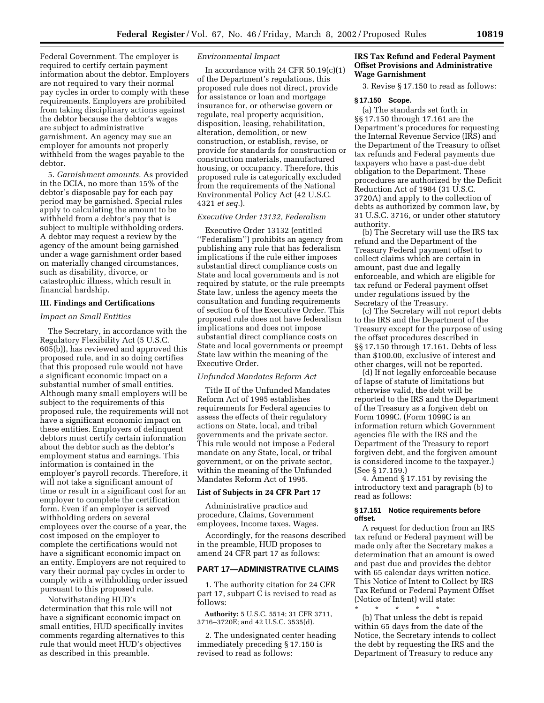Federal Government. The employer is required to certify certain payment information about the debtor. Employers are not required to vary their normal pay cycles in order to comply with these requirements. Employers are prohibited from taking disciplinary actions against the debtor because the debtor's wages are subject to administrative garnishment. An agency may sue an employer for amounts not properly withheld from the wages payable to the debtor.

5. *Garnishment amounts.* As provided in the DCIA, no more than 15% of the debtor's disposable pay for each pay period may be garnished. Special rules apply to calculating the amount to be withheld from a debtor's pay that is subject to multiple withholding orders. A debtor may request a review by the agency of the amount being garnished under a wage garnishment order based on materially changed circumstances, such as disability, divorce, or catastrophic illness, which result in financial hardship.

## **III. Findings and Certifications**

## *Impact on Small Entities*

The Secretary, in accordance with the Regulatory Flexibility Act (5 U.S.C. 605(b)), has reviewed and approved this proposed rule, and in so doing certifies that this proposed rule would not have a significant economic impact on a substantial number of small entities. Although many small employers will be subject to the requirements of this proposed rule, the requirements will not have a significant economic impact on these entities. Employers of delinquent debtors must certify certain information about the debtor such as the debtor's employment status and earnings. This information is contained in the employer's payroll records. Therefore, it will not take a significant amount of time or result in a significant cost for an employer to complete the certification form. Even if an employer is served withholding orders on several employees over the course of a year, the cost imposed on the employer to complete the certifications would not have a significant economic impact on an entity. Employers are not required to vary their normal pay cycles in order to comply with a withholding order issued pursuant to this proposed rule.

Notwithstanding HUD's determination that this rule will not have a significant economic impact on small entities, HUD specifically invites comments regarding alternatives to this rule that would meet HUD's objectives as described in this preamble.

## *Environmental Impact*

In accordance with 24 CFR  $50.19(c)(1)$ of the Department's regulations, this proposed rule does not direct, provide for assistance or loan and mortgage insurance for, or otherwise govern or regulate, real property acquisition, disposition, leasing, rehabilitation, alteration, demolition, or new construction, or establish, revise, or provide for standards for construction or construction materials, manufactured housing, or occupancy. Therefore, this proposed rule is categorically excluded from the requirements of the National Environmental Policy Act (42 U.S.C. 4321 *et seq.*).

#### *Executive Order 13132, Federalism*

Executive Order 13132 (entitled ''Federalism'') prohibits an agency from publishing any rule that has federalism implications if the rule either imposes substantial direct compliance costs on State and local governments and is not required by statute, or the rule preempts State law, unless the agency meets the consultation and funding requirements of section 6 of the Executive Order. This proposed rule does not have federalism implications and does not impose substantial direct compliance costs on State and local governments or preempt State law within the meaning of the Executive Order.

#### *Unfunded Mandates Reform Act*

Title II of the Unfunded Mandates Reform Act of 1995 establishes requirements for Federal agencies to assess the effects of their regulatory actions on State, local, and tribal governments and the private sector. This rule would not impose a Federal mandate on any State, local, or tribal government, or on the private sector, within the meaning of the Unfunded Mandates Reform Act of 1995.

## **List of Subjects in 24 CFR Part 17**

Administrative practice and procedure, Claims, Government employees, Income taxes, Wages.

Accordingly, for the reasons described in the preamble, HUD proposes to amend 24 CFR part 17 as follows:

## **PART 17—ADMINISTRATIVE CLAIMS**

1. The authority citation for 24 CFR part 17, subpart C is revised to read as follows:

**Authority:** 5 U.S.C. 5514; 31 CFR 3711, 3716–3720E; and 42 U.S.C. 3535(d).

2. The undesignated center heading immediately preceding § 17.150 is revised to read as follows:

## **IRS Tax Refund and Federal Payment Offset Provisions and Administrative Wage Garnishment**

3. Revise § 17.150 to read as follows:

#### **§ 17.150 Scope.**

(a) The standards set forth in §§ 17.150 through 17.161 are the Department's procedures for requesting the Internal Revenue Service (IRS) and the Department of the Treasury to offset tax refunds and Federal payments due taxpayers who have a past-due debt obligation to the Department. These procedures are authorized by the Deficit Reduction Act of 1984 (31 U.S.C. 3720A) and apply to the collection of debts as authorized by common law, by 31 U.S.C. 3716, or under other statutory authority.

(b) The Secretary will use the IRS tax refund and the Department of the Treasury Federal payment offset to collect claims which are certain in amount, past due and legally enforceable, and which are eligible for tax refund or Federal payment offset under regulations issued by the Secretary of the Treasury.

(c) The Secretary will not report debts to the IRS and the Department of the Treasury except for the purpose of using the offset procedures described in §§ 17.150 through 17.161. Debts of less than \$100.00, exclusive of interest and other charges, will not be reported.

(d) If not legally enforceable because of lapse of statute of limitations but otherwise valid, the debt will be reported to the IRS and the Department of the Treasury as a forgiven debt on Form 1099C. (Form 1099C is an information return which Government agencies file with the IRS and the Department of the Treasury to report forgiven debt, and the forgiven amount is considered income to the taxpayer.) (See § 17.159.)

4. Amend § 17.151 by revising the introductory text and paragraph (b) to read as follows:

## **§ 17.151 Notice requirements before offset.**

A request for deduction from an IRS tax refund or Federal payment will be made only after the Secretary makes a determination that an amount is owed and past due and provides the debtor with 65 calendar days written notice. This Notice of Intent to Collect by IRS Tax Refund or Federal Payment Offset (Notice of Intent) will state:

\* \* \* \* \* (b) That unless the debt is repaid within 65 days from the date of the Notice, the Secretary intends to collect the debt by requesting the IRS and the Department of Treasury to reduce any